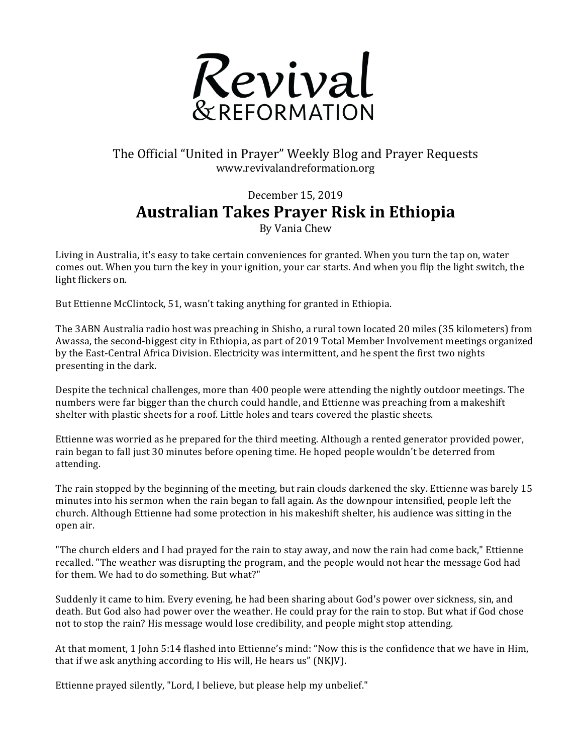

## The Official "United in Prayer" Weekly Blog and Prayer Requests www.revivalandreformation.org

## December 15, 2019 **Australian Takes Prayer Risk in Ethiopia** By Vania Chew

Living in Australia, it's easy to take certain conveniences for granted. When you turn the tap on, water comes out. When you turn the key in your ignition, your car starts. And when you flip the light switch, the light flickers on.

But Ettienne McClintock, 51, wasn't taking anything for granted in Ethiopia.

The 3ABN Australia radio host was preaching in Shisho, a rural town located 20 miles (35 kilometers) from Awassa, the second-biggest city in Ethiopia, as part of 2019 Total Member Involvement meetings organized by the East-Central Africa Division. Electricity was intermittent, and he spent the first two nights presenting in the dark.

Despite the technical challenges, more than 400 people were attending the nightly outdoor meetings. The numbers were far bigger than the church could handle, and Ettienne was preaching from a makeshift shelter with plastic sheets for a roof. Little holes and tears covered the plastic sheets.

Ettienne was worried as he prepared for the third meeting. Although a rented generator provided power, rain began to fall just 30 minutes before opening time. He hoped people wouldn't be deterred from attending.

The rain stopped by the beginning of the meeting, but rain clouds darkened the sky. Ettienne was barely 15 minutes into his sermon when the rain began to fall again. As the downpour intensified, people left the church. Although Ettienne had some protection in his makeshift shelter, his audience was sitting in the open air.

"The church elders and I had prayed for the rain to stay away, and now the rain had come back," Ettienne recalled. "The weather was disrupting the program, and the people would not hear the message God had for them. We had to do something. But what?"

Suddenly it came to him. Every evening, he had been sharing about God's power over sickness, sin, and death. But God also had power over the weather. He could pray for the rain to stop. But what if God chose not to stop the rain? His message would lose credibility, and people might stop attending.

At that moment, 1 John 5:14 flashed into Ettienne's mind: "Now this is the confidence that we have in Him, that if we ask anything according to His will, He hears us" (NKJV).

Ettienne prayed silently, "Lord, I believe, but please help my unbelief."